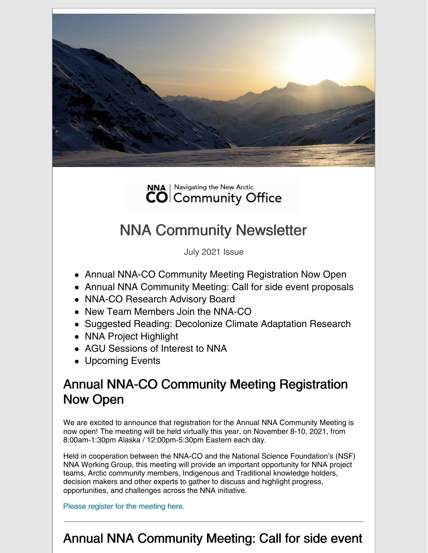



# NNA Community Newsletter

July 2021 Issue

- Annual NNA-CO Community Meeting Registration Now Open
- Annual NNA Community Meeting: Call for side event proposals
- NNA-CO Research Advisory Board
- New Team Members Join the NNA-CO
- Suggested Reading: Decolonize Climate Adaptation Research
- NNA Project Highlight
- AGU Sessions of Interest to NNA
- Upcoming Events

### Annual NNA-CO Community Meeting Registration Now Open

We are excited to announce that registration for the Annual NNA Community Meeting is now open! The meeting will be held virtually this year, on November 8-10, 2021, from 8:00am-1:30pm Alaska / 12:00pm-5:30pm Eastern each day.

Held in cooperation between the NNA-CO and the National Science Foundation's (NSF) NNA Working Group, this meeting will provide an important opportunity for NNA project teams, Arctic community members, Indigenous and Traditional knowledge holders, decision makers and other experts to gather to discuss and highlight progress, opportunities, and challenges across the NNA initiative.

Please register for the [meeting](https://nna-co.org/2021-annual-meeting/register) here.

### Annual NNA Community Meeting: Call for side event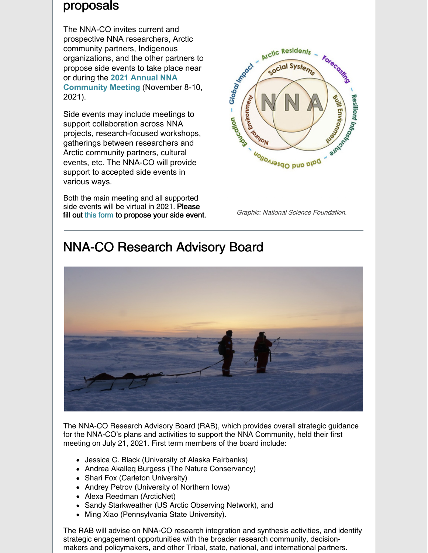### proposals

The NNA-CO invites current and prospective NNA researchers, Arctic community partners, Indigenous organizations, and the other partners to propose side events to take place near or during the **2021 Annual NNA [Community](https://nna-co.org/2021-annual-meeting) Meeting** (November 8-10, 2021).

Side events may include meetings to support collaboration across NNA projects, research-focused workshops, gatherings between researchers and Arctic community partners, cultural events, etc. The NNA-CO will provide support to accepted side events in various ways.

Both the main meeting and all supported side events will be virtual in 2021. Please Fill out this [form](https://forms.gle/kpS1AVvf7w1FrracA) to propose your side event. Graphic: National Science Foundation.





### NNA-CO Research Advisory Board

The NNA-CO Research Advisory Board (RAB), which provides overall strategic guidance for the NNA-CO's plans and activities to support the NNA Community, held their first meeting on July 21, 2021. First term members of the board include:

- Jessica C. Black (University of Alaska Fairbanks)
- Andrea Akalleg Burgess (The Nature Conservancy)
- Shari Fox (Carleton University)
- Andrey Petrov (University of Northern Iowa)
- Alexa Reedman (ArcticNet)
- Sandy Starkweather (US Arctic Observing Network), and
- Ming Xiao (Pennsylvania State University).

The RAB will advise on NNA-CO research integration and synthesis activities, and identify strategic engagement opportunities with the broader research community, decisionmakers and policymakers, and other Tribal, state, national, and international partners.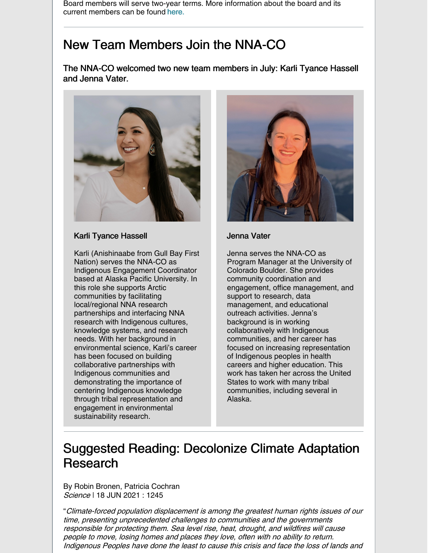Board members will serve two-year terms. More information about the board and its current members can be found [here](https://nna-co.org/research-advisory-board).

### New Team Members Join the NNA-CO

The NNA-CO welcomed two new team members in July: Karli Tyance Hassell and Jenna Vater.



#### Karli Tyance Hassell

Karli (Anishinaabe from Gull Bay First Nation) serves the NNA-CO as Indigenous Engagement Coordinator based at Alaska Pacific University. In this role she supports Arctic communities by facilitating local/regional NNA research partnerships and interfacing NNA research with Indigenous cultures, knowledge systems, and research needs. With her background in environmental science, Karli's career has been focused on building collaborative partnerships with Indigenous communities and demonstrating the importance of centering Indigenous knowledge through tribal representation and engagement in environmental sustainability research.



#### Jenna Vater

Jenna serves the NNA-CO as Program Manager at the University of Colorado Boulder. She provides community coordination and engagement, office management, and support to research, data management, and educational outreach activities. Jenna's background is in working collaboratively with Indigenous communities, and her career has focused on increasing representation of Indigenous peoples in health careers and higher education. This work has taken her across the United States to work with many tribal communities, including several in Alaska.

### Suggested Reading: Decolonize Climate Adaptation Research

By Robin Bronen, Patricia Cochran Science | 18 JUN 2021 : 1245

"Climate-forced population displacement is among the greatest human rights issues of our time, presenting unprecedented challenges to communities and the governments responsible for protecting them. Sea level rise, heat, drought, and wildfires will cause people to move, losing homes and places they love, often with no ability to return. Indigenous Peoples have done the least to cause this crisis and face the loss of lands and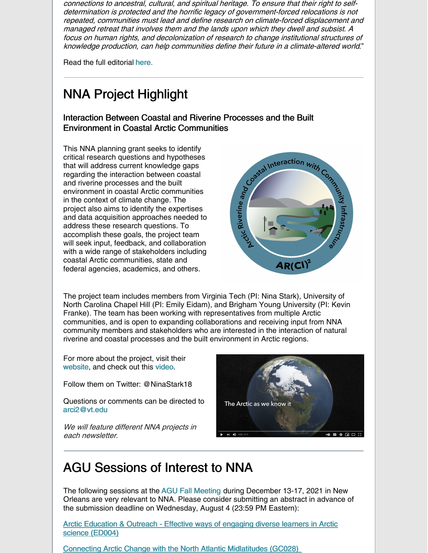connections to ancestral, cultural, and spiritual heritage. To ensure that their right to selfdetermination is protected and the horrific legacy of government-forced relocations is not repeated, communities must lead and define research on climate-forced displacement and managed retreat that involves them and the lands upon which they dwell and subsist. A focus on human rights, and decolonization of research to change institutional structures of knowledge production, can help communities define their future in <sup>a</sup> climate-altered world."

Read the full editorial [here](https://science.sciencemag.org/content/372/6548/1245).

## NNA Project Highlight

#### Interaction Between Coastal and Riverine Processes and the Built Environment in Coastal Arctic Communities

This NNA planning grant seeks to identify critical research questions and hypotheses that will address current knowledge gaps regarding the interaction between coastal and riverine processes and the built environment in coastal Arctic communities in the context of climate change. The project also aims to identify the expertises and data acquisition approaches needed to address these research questions. To accomplish these goals, the project team will seek input, feedback, and collaboration with a wide range of stakeholders including coastal Arctic communities, state and federal agencies, academics, and others.



The project team includes members from Virginia Tech (PI: Nina Stark), University of North Carolina Chapel Hill (PI: Emily Eidam), and Brigham Young University (PI: Kevin Franke). The team has been working with representatives from multiple Arctic communities, and is open to expanding collaborations and receiving input from NNA community members and stakeholders who are interested in the interaction of natural riverine and coastal processes and the built environment in Arctic regions.

For more about the project, visit their [website](https://arci2.cee.vt.edu/), and check out this [video](https://youtu.be/Q00fuwgBslQ).

Follow them on Twitter: @NinaStark18

Questions or comments can be directed to [arci2@vt.edu](mailto:arci2@vt.edu)

We will feature different NNA projects in each newsletter.



### AGU Sessions of Interest to NNA

The following sessions at the AGU Fall [Meeting](https://www.agu.org/Fall-Meeting) during December 13-17, 2021 in New Orleans are very relevant to NNA. Please consider submitting an abstract in advance of the submission deadline on Wednesday, August 4 (23:59 PM Eastern):

Arctic [Education](https://agu.confex.com/agu/fm21/prelim.cgi/Session/123668) & Outreach - Effective ways of engaging diverse learners in Arctic science (ED004)

Connecting Arctic Change with the North Atlantic [Midlatitudes](https://agu.confex.com/agu/fm21/prelim.cgi/Session/122072) (GC028)